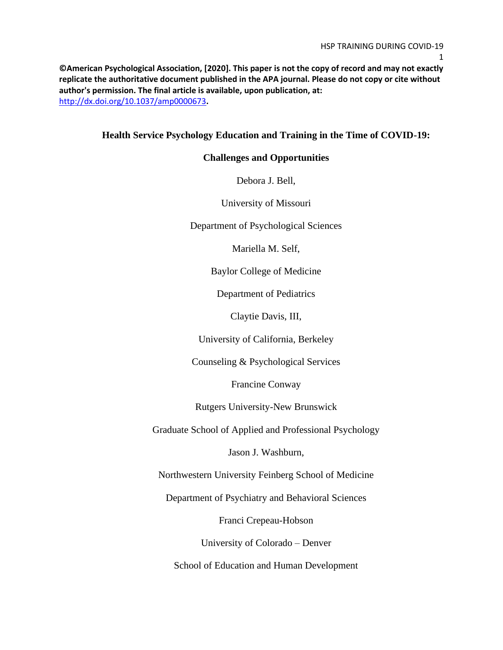**©American Psychological Association, [2020]. This paper is not the copy of record and may not exactly replicate the authoritative document published in the APA journal. Please do not copy or cite without author's permission. The final article is available, upon publication, at:** <http://dx.doi.org/10.1037/amp0000673>**.**

## **Health Service Psychology Education and Training in the Time of COVID-19:**

### **Challenges and Opportunities**

Debora J. Bell,

University of Missouri

Department of Psychological Sciences

Mariella M. Self,

Baylor College of Medicine

Department of Pediatrics

Claytie Davis, III,

University of California, Berkeley

Counseling & Psychological Services

Francine Conway

Rutgers University-New Brunswick

Graduate School of Applied and Professional Psychology

Jason J. Washburn,

Northwestern University Feinberg School of Medicine

Department of Psychiatry and Behavioral Sciences

Franci Crepeau-Hobson

University of Colorado – Denver

School of Education and Human Development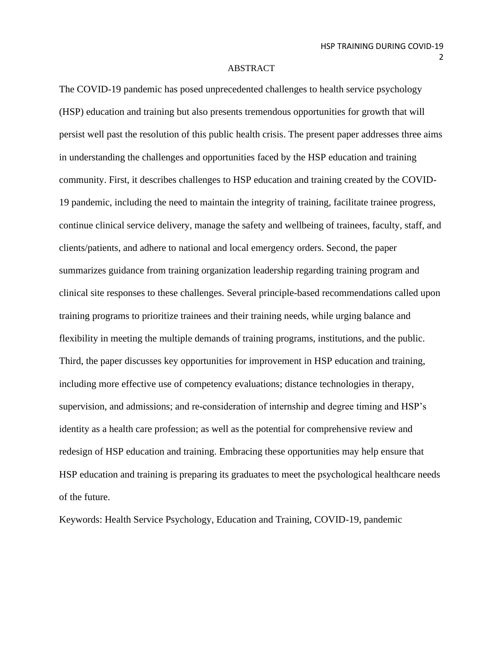### ABSTRACT

The COVID-19 pandemic has posed unprecedented challenges to health service psychology (HSP) education and training but also presents tremendous opportunities for growth that will persist well past the resolution of this public health crisis. The present paper addresses three aims in understanding the challenges and opportunities faced by the HSP education and training community. First, it describes challenges to HSP education and training created by the COVID-19 pandemic, including the need to maintain the integrity of training, facilitate trainee progress, continue clinical service delivery, manage the safety and wellbeing of trainees, faculty, staff, and clients/patients, and adhere to national and local emergency orders. Second, the paper summarizes guidance from training organization leadership regarding training program and clinical site responses to these challenges. Several principle-based recommendations called upon training programs to prioritize trainees and their training needs, while urging balance and flexibility in meeting the multiple demands of training programs, institutions, and the public. Third, the paper discusses key opportunities for improvement in HSP education and training, including more effective use of competency evaluations; distance technologies in therapy, supervision, and admissions; and re-consideration of internship and degree timing and HSP's identity as a health care profession; as well as the potential for comprehensive review and redesign of HSP education and training. Embracing these opportunities may help ensure that HSP education and training is preparing its graduates to meet the psychological healthcare needs of the future.

Keywords: Health Service Psychology, Education and Training, COVID-19, pandemic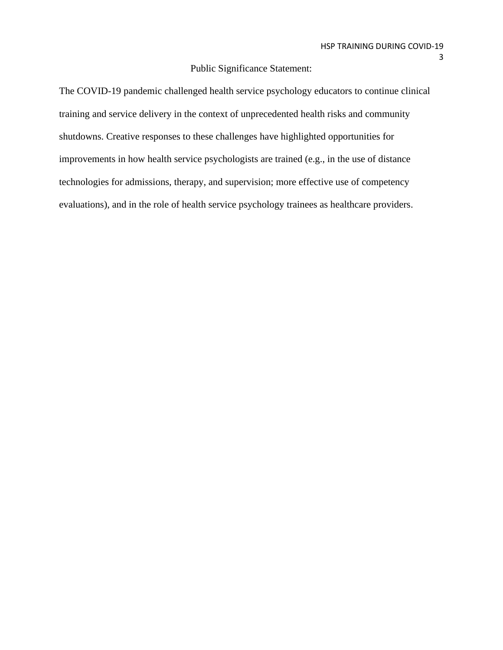## Public Significance Statement:

The COVID-19 pandemic challenged health service psychology educators to continue clinical training and service delivery in the context of unprecedented health risks and community shutdowns. Creative responses to these challenges have highlighted opportunities for improvements in how health service psychologists are trained (e.g., in the use of distance technologies for admissions, therapy, and supervision; more effective use of competency evaluations), and in the role of health service psychology trainees as healthcare providers.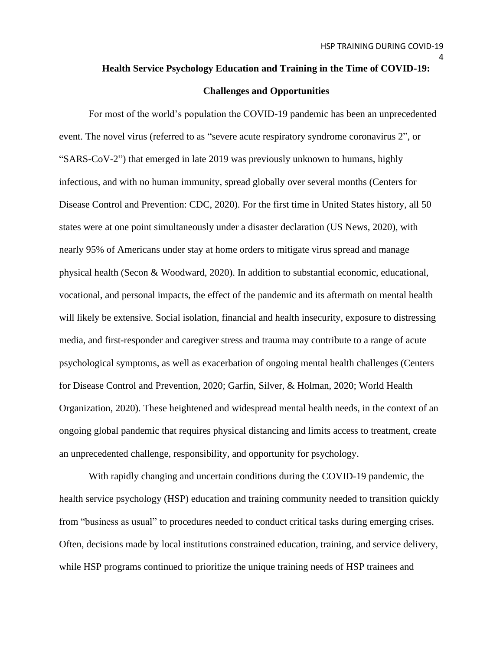## **Health Service Psychology Education and Training in the Time of COVID-19:**

#### **Challenges and Opportunities**

For most of the world's population the COVID-19 pandemic has been an unprecedented event. The novel virus (referred to as "severe acute respiratory syndrome coronavirus 2", or "SARS-CoV-2") that emerged in late 2019 was previously unknown to humans, highly infectious, and with no human immunity, spread globally over several months (Centers for Disease Control and Prevention: CDC, 2020). For the first time in United States history, all 50 states were at one point simultaneously under a disaster declaration (US News, 2020), with nearly 95% of Americans under stay at home orders to mitigate virus spread and manage physical health (Secon & Woodward, 2020). In addition to substantial economic, educational, vocational, and personal impacts, the effect of the pandemic and its aftermath on mental health will likely be extensive. Social isolation, financial and health insecurity, exposure to distressing media, and first-responder and caregiver stress and trauma may contribute to a range of acute psychological symptoms, as well as exacerbation of ongoing mental health challenges (Centers for Disease Control and Prevention, 2020; Garfin, Silver, & Holman, 2020; World Health Organization, 2020). These heightened and widespread mental health needs, in the context of an ongoing global pandemic that requires physical distancing and limits access to treatment, create an unprecedented challenge, responsibility, and opportunity for psychology.

With rapidly changing and uncertain conditions during the COVID-19 pandemic, the health service psychology (HSP) education and training community needed to transition quickly from "business as usual" to procedures needed to conduct critical tasks during emerging crises. Often, decisions made by local institutions constrained education, training, and service delivery, while HSP programs continued to prioritize the unique training needs of HSP trainees and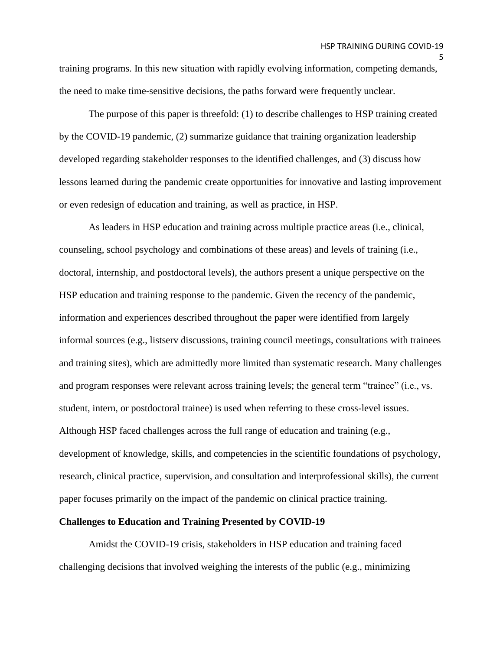training programs. In this new situation with rapidly evolving information, competing demands, the need to make time-sensitive decisions, the paths forward were frequently unclear.

The purpose of this paper is threefold: (1) to describe challenges to HSP training created by the COVID-19 pandemic, (2) summarize guidance that training organization leadership developed regarding stakeholder responses to the identified challenges, and (3) discuss how lessons learned during the pandemic create opportunities for innovative and lasting improvement or even redesign of education and training, as well as practice, in HSP.

As leaders in HSP education and training across multiple practice areas (i.e., clinical, counseling, school psychology and combinations of these areas) and levels of training (i.e., doctoral, internship, and postdoctoral levels), the authors present a unique perspective on the HSP education and training response to the pandemic. Given the recency of the pandemic, information and experiences described throughout the paper were identified from largely informal sources (e.g., listserv discussions, training council meetings, consultations with trainees and training sites), which are admittedly more limited than systematic research. Many challenges and program responses were relevant across training levels; the general term "trainee" (i.e., vs. student, intern, or postdoctoral trainee) is used when referring to these cross-level issues. Although HSP faced challenges across the full range of education and training (e.g., development of knowledge, skills, and competencies in the scientific foundations of psychology, research, clinical practice, supervision, and consultation and interprofessional skills), the current paper focuses primarily on the impact of the pandemic on clinical practice training.

#### **Challenges to Education and Training Presented by COVID-19**

Amidst the COVID-19 crisis, stakeholders in HSP education and training faced challenging decisions that involved weighing the interests of the public (e.g., minimizing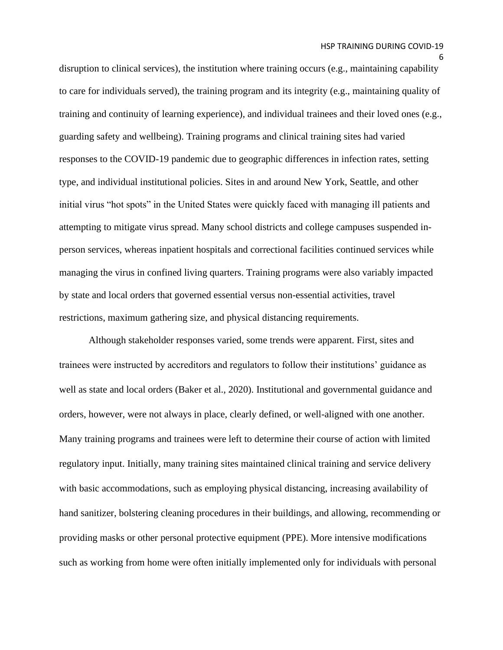disruption to clinical services), the institution where training occurs (e.g., maintaining capability to care for individuals served), the training program and its integrity (e.g., maintaining quality of training and continuity of learning experience), and individual trainees and their loved ones (e.g., guarding safety and wellbeing). Training programs and clinical training sites had varied responses to the COVID-19 pandemic due to geographic differences in infection rates, setting type, and individual institutional policies. Sites in and around New York, Seattle, and other initial virus "hot spots" in the United States were quickly faced with managing ill patients and attempting to mitigate virus spread. Many school districts and college campuses suspended inperson services, whereas inpatient hospitals and correctional facilities continued services while managing the virus in confined living quarters. Training programs were also variably impacted by state and local orders that governed essential versus non-essential activities, travel restrictions, maximum gathering size, and physical distancing requirements.

Although stakeholder responses varied, some trends were apparent. First, sites and trainees were instructed by accreditors and regulators to follow their institutions' guidance as well as state and local orders (Baker et al., 2020). Institutional and governmental guidance and orders, however, were not always in place, clearly defined, or well-aligned with one another. Many training programs and trainees were left to determine their course of action with limited regulatory input. Initially, many training sites maintained clinical training and service delivery with basic accommodations, such as employing physical distancing, increasing availability of hand sanitizer, bolstering cleaning procedures in their buildings, and allowing, recommending or providing masks or other personal protective equipment (PPE). More intensive modifications such as working from home were often initially implemented only for individuals with personal

<sup>6</sup>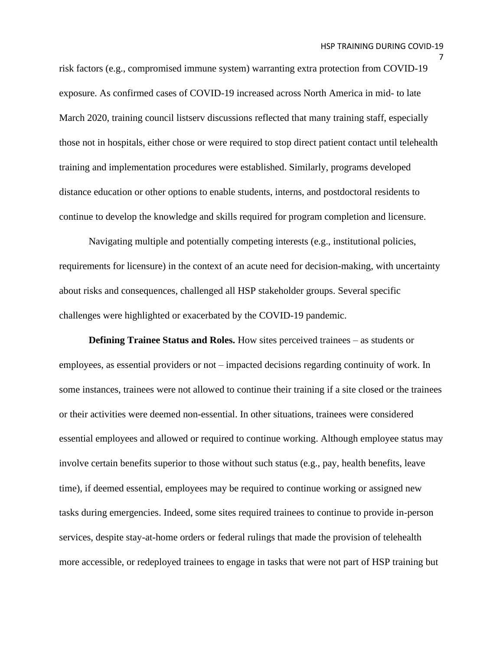risk factors (e.g., compromised immune system) warranting extra protection from COVID-19 exposure. As confirmed cases of COVID-19 increased across North America in mid- to late March 2020, training council listserv discussions reflected that many training staff, especially those not in hospitals, either chose or were required to stop direct patient contact until telehealth training and implementation procedures were established. Similarly, programs developed distance education or other options to enable students, interns, and postdoctoral residents to continue to develop the knowledge and skills required for program completion and licensure.

Navigating multiple and potentially competing interests (e.g., institutional policies, requirements for licensure) in the context of an acute need for decision-making, with uncertainty about risks and consequences, challenged all HSP stakeholder groups. Several specific challenges were highlighted or exacerbated by the COVID-19 pandemic.

**Defining Trainee Status and Roles.** How sites perceived trainees – as students or employees, as essential providers or not – impacted decisions regarding continuity of work. In some instances, trainees were not allowed to continue their training if a site closed or the trainees or their activities were deemed non-essential. In other situations, trainees were considered essential employees and allowed or required to continue working. Although employee status may involve certain benefits superior to those without such status (e.g., pay, health benefits, leave time), if deemed essential, employees may be required to continue working or assigned new tasks during emergencies. Indeed, some sites required trainees to continue to provide in-person services, despite stay-at-home orders or federal rulings that made the provision of telehealth more accessible, or redeployed trainees to engage in tasks that were not part of HSP training but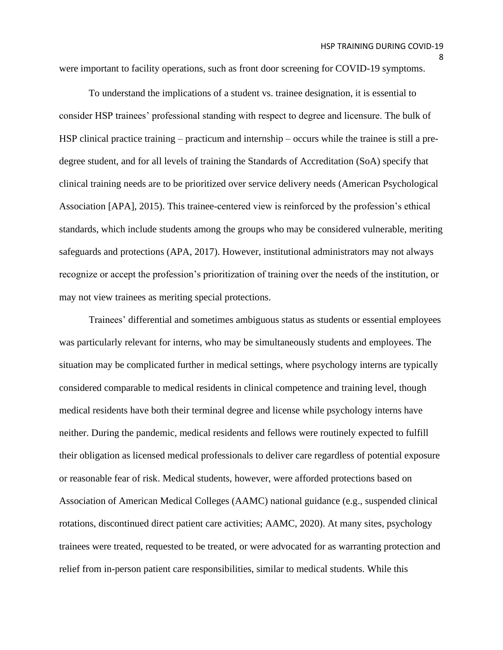were important to facility operations, such as front door screening for COVID-19 symptoms.

To understand the implications of a student vs. trainee designation, it is essential to consider HSP trainees' professional standing with respect to degree and licensure. The bulk of HSP clinical practice training – practicum and internship – occurs while the trainee is still a predegree student, and for all levels of training the Standards of Accreditation (SoA) specify that clinical training needs are to be prioritized over service delivery needs (American Psychological Association [APA], 2015). This trainee-centered view is reinforced by the profession's ethical standards, which include students among the groups who may be considered vulnerable, meriting safeguards and protections (APA, 2017). However, institutional administrators may not always recognize or accept the profession's prioritization of training over the needs of the institution, or may not view trainees as meriting special protections.

Trainees' differential and sometimes ambiguous status as students or essential employees was particularly relevant for interns, who may be simultaneously students and employees. The situation may be complicated further in medical settings, where psychology interns are typically considered comparable to medical residents in clinical competence and training level, though medical residents have both their terminal degree and license while psychology interns have neither. During the pandemic, medical residents and fellows were routinely expected to fulfill their obligation as licensed medical professionals to deliver care regardless of potential exposure or reasonable fear of risk. Medical students, however, were afforded protections based on Association of American Medical Colleges (AAMC) national guidance (e.g., suspended clinical rotations, discontinued direct patient care activities; AAMC, 2020). At many sites, psychology trainees were treated, requested to be treated, or were advocated for as warranting protection and relief from in-person patient care responsibilities, similar to medical students. While this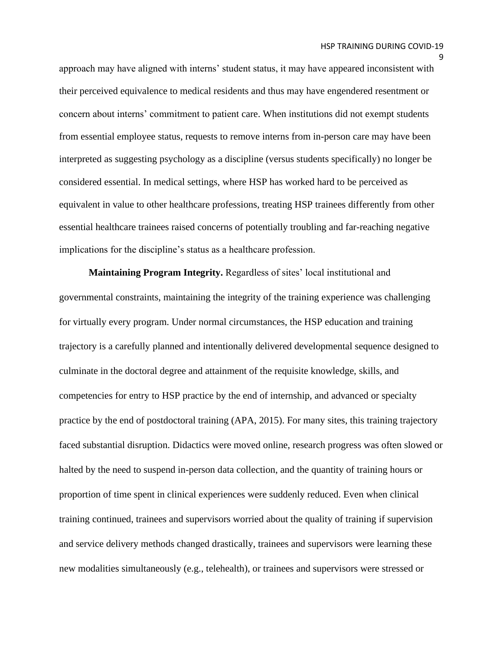approach may have aligned with interns' student status, it may have appeared inconsistent with their perceived equivalence to medical residents and thus may have engendered resentment or concern about interns' commitment to patient care. When institutions did not exempt students from essential employee status, requests to remove interns from in-person care may have been interpreted as suggesting psychology as a discipline (versus students specifically) no longer be considered essential. In medical settings, where HSP has worked hard to be perceived as equivalent in value to other healthcare professions, treating HSP trainees differently from other essential healthcare trainees raised concerns of potentially troubling and far-reaching negative implications for the discipline's status as a healthcare profession.

**Maintaining Program Integrity.** Regardless of sites' local institutional and governmental constraints, maintaining the integrity of the training experience was challenging for virtually every program. Under normal circumstances, the HSP education and training trajectory is a carefully planned and intentionally delivered developmental sequence designed to culminate in the doctoral degree and attainment of the requisite knowledge, skills, and competencies for entry to HSP practice by the end of internship, and advanced or specialty practice by the end of postdoctoral training (APA, 2015). For many sites, this training trajectory faced substantial disruption. Didactics were moved online, research progress was often slowed or halted by the need to suspend in-person data collection, and the quantity of training hours or proportion of time spent in clinical experiences were suddenly reduced. Even when clinical training continued, trainees and supervisors worried about the quality of training if supervision and service delivery methods changed drastically, trainees and supervisors were learning these new modalities simultaneously (e.g., telehealth), or trainees and supervisors were stressed or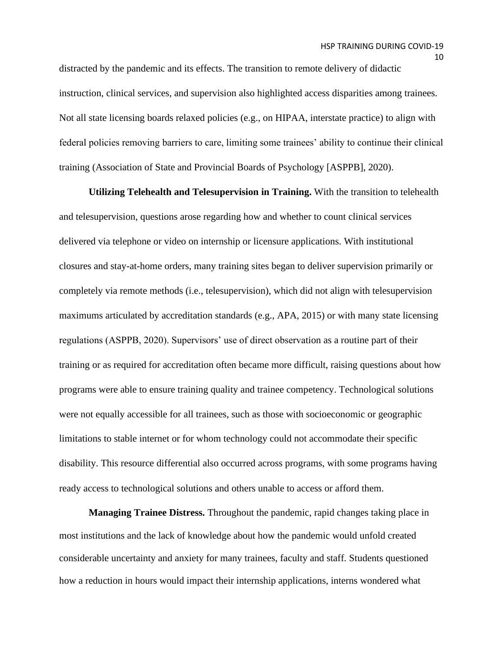distracted by the pandemic and its effects. The transition to remote delivery of didactic instruction, clinical services, and supervision also highlighted access disparities among trainees. Not all state licensing boards relaxed policies (e.g., on HIPAA, interstate practice) to align with federal policies removing barriers to care, limiting some trainees' ability to continue their clinical training (Association of State and Provincial Boards of Psychology [ASPPB], 2020).

**Utilizing Telehealth and Telesupervision in Training.** With the transition to telehealth and telesupervision, questions arose regarding how and whether to count clinical services delivered via telephone or video on internship or licensure applications. With institutional closures and stay-at-home orders, many training sites began to deliver supervision primarily or completely via remote methods (i.e., telesupervision), which did not align with telesupervision maximums articulated by accreditation standards (e.g., APA, 2015) or with many state licensing regulations (ASPPB, 2020). Supervisors' use of direct observation as a routine part of their training or as required for accreditation often became more difficult, raising questions about how programs were able to ensure training quality and trainee competency. Technological solutions were not equally accessible for all trainees, such as those with socioeconomic or geographic limitations to stable internet or for whom technology could not accommodate their specific disability. This resource differential also occurred across programs, with some programs having ready access to technological solutions and others unable to access or afford them.

**Managing Trainee Distress.** Throughout the pandemic, rapid changes taking place in most institutions and the lack of knowledge about how the pandemic would unfold created considerable uncertainty and anxiety for many trainees, faculty and staff. Students questioned how a reduction in hours would impact their internship applications, interns wondered what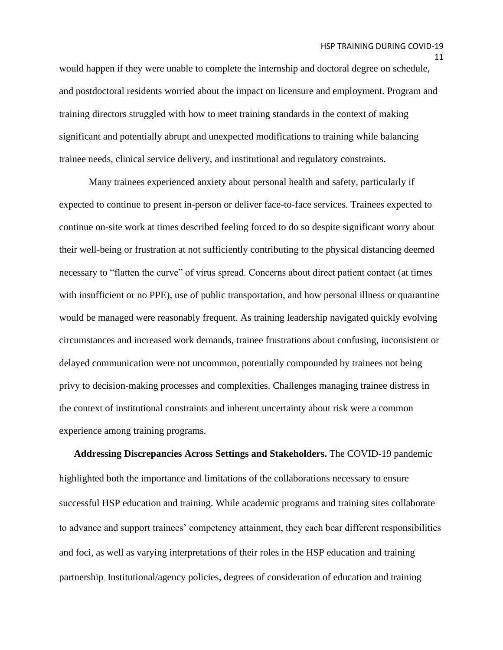would happen if they were unable to complete the internship and doctoral degree on schedule, and postdoctoral residents worried about the impact on licensure and employment. Program and training directors struggled with how to meet training standards in the context of making significant and potentially abrupt and unexpected modifications to training while balancing trainee needs, clinical service delivery, and institutional and regulatory constraints.

Many trainees experienced anxiety about personal health and safety, particularly if expected to continue to present in-person or deliver face-to-face services. Trainees expected to continue on-site work at times described feeling forced to do so despite significant worry about their well-being or frustration at not sufficiently contributing to the physical distancing deemed necessary to "flatten the curve" of virus spread. Concerns about direct patient contact (at times with insufficient or no PPE), use of public transportation, and how personal illness or quarantine would be managed were reasonably frequent. As training leadership navigated quickly evolving circumstances and increased work demands, trainee frustrations about confusing, inconsistent or delayed communication were not uncommon, potentially compounded by trainees not being privy to decision-making processes and complexities. Challenges managing trainee distress in the context of institutional constraints and inherent uncertainty about risk were a common experience among training programs.

 **Addressing Discrepancies Across Settings and Stakeholders.** The COVID-19 pandemic highlighted both the importance and limitations of the collaborations necessary to ensure successful HSP education and training. While academic programs and training sites collaborate to advance and support trainees' competency attainment, they each bear different responsibilities and foci, as well as varying interpretations of their roles in the HSP education and training partnership. Institutional/agency policies, degrees of consideration of education and training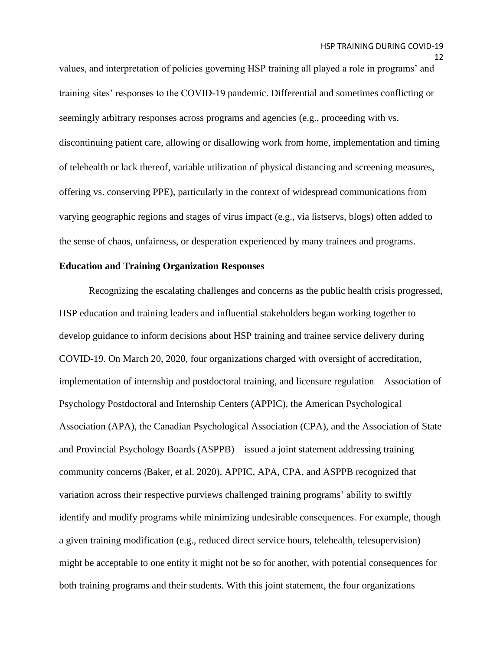values, and interpretation of policies governing HSP training all played a role in programs' and training sites' responses to the COVID-19 pandemic. Differential and sometimes conflicting or seemingly arbitrary responses across programs and agencies (e.g., proceeding with vs. discontinuing patient care, allowing or disallowing work from home, implementation and timing of telehealth or lack thereof, variable utilization of physical distancing and screening measures, offering vs. conserving PPE), particularly in the context of widespread communications from varying geographic regions and stages of virus impact (e.g., via listservs, blogs) often added to the sense of chaos, unfairness, or desperation experienced by many trainees and programs.

### **Education and Training Organization Responses**

Recognizing the escalating challenges and concerns as the public health crisis progressed, HSP education and training leaders and influential stakeholders began working together to develop guidance to inform decisions about HSP training and trainee service delivery during COVID-19. On March 20, 2020, four organizations charged with oversight of accreditation, implementation of internship and postdoctoral training, and licensure regulation – Association of Psychology Postdoctoral and Internship Centers (APPIC), the American Psychological Association (APA), the Canadian Psychological Association (CPA), and the Association of State and Provincial Psychology Boards (ASPPB) – issued a joint statement addressing training community concerns (Baker, et al. 2020). APPIC, APA, CPA, and ASPPB recognized that variation across their respective purviews challenged training programs' ability to swiftly identify and modify programs while minimizing undesirable consequences. For example, though a given training modification (e.g., reduced direct service hours, telehealth, telesupervision) might be acceptable to one entity it might not be so for another, with potential consequences for both training programs and their students. With this joint statement, the four organizations

<sup>12</sup>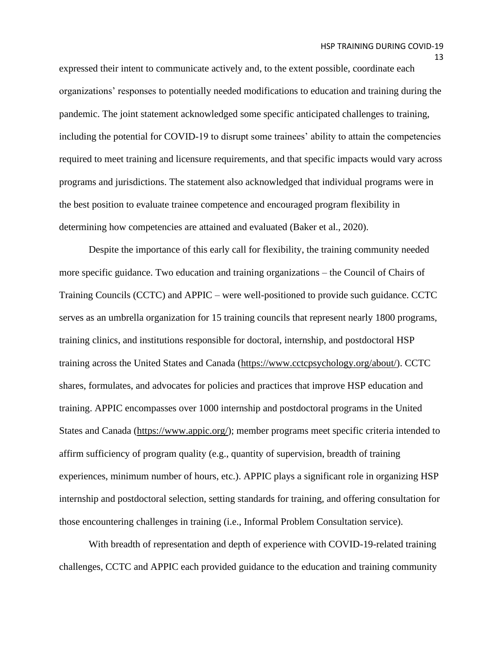expressed their intent to communicate actively and, to the extent possible, coordinate each organizations' responses to potentially needed modifications to education and training during the pandemic. The joint statement acknowledged some specific anticipated challenges to training, including the potential for COVID-19 to disrupt some trainees' ability to attain the competencies required to meet training and licensure requirements, and that specific impacts would vary across programs and jurisdictions. The statement also acknowledged that individual programs were in the best position to evaluate trainee competence and encouraged program flexibility in determining how competencies are attained and evaluated (Baker et al., 2020).

Despite the importance of this early call for flexibility, the training community needed more specific guidance. Two education and training organizations – the Council of Chairs of Training Councils (CCTC) and APPIC – were well-positioned to provide such guidance. CCTC serves as an umbrella organization for 15 training councils that represent nearly 1800 programs, training clinics, and institutions responsible for doctoral, internship, and postdoctoral HSP training across the United States and Canada [\(https://www.cctcpsychology.org/about/\)](https://www.cctcpsychology.org/about/). CCTC shares, formulates, and advocates for policies and practices that improve HSP education and training. APPIC encompasses over 1000 internship and postdoctoral programs in the United States and Canada [\(https://www.appic.org/\)](https://www.appic.org/); member programs meet specific criteria intended to affirm sufficiency of program quality (e.g., quantity of supervision, breadth of training experiences, minimum number of hours, etc.). APPIC plays a significant role in organizing HSP internship and postdoctoral selection, setting standards for training, and offering consultation for those encountering challenges in training (i.e., Informal Problem Consultation service).

With breadth of representation and depth of experience with COVID-19-related training challenges, CCTC and APPIC each provided guidance to the education and training community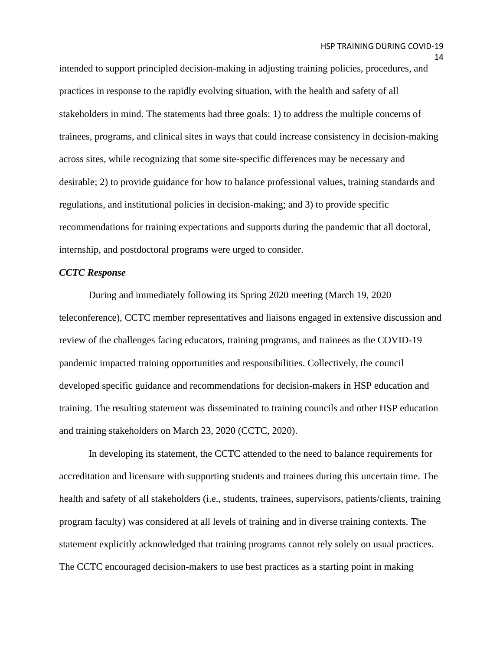intended to support principled decision-making in adjusting training policies, procedures, and practices in response to the rapidly evolving situation, with the health and safety of all stakeholders in mind. The statements had three goals: 1) to address the multiple concerns of trainees, programs, and clinical sites in ways that could increase consistency in decision-making across sites, while recognizing that some site-specific differences may be necessary and desirable; 2) to provide guidance for how to balance professional values, training standards and regulations, and institutional policies in decision-making; and 3) to provide specific recommendations for training expectations and supports during the pandemic that all doctoral, internship, and postdoctoral programs were urged to consider.

#### *CCTC Response*

During and immediately following its Spring 2020 meeting (March 19, 2020 teleconference), CCTC member representatives and liaisons engaged in extensive discussion and review of the challenges facing educators, training programs, and trainees as the COVID-19 pandemic impacted training opportunities and responsibilities. Collectively, the council developed specific guidance and recommendations for decision-makers in HSP education and training. The resulting statement was disseminated to training councils and other HSP education and training stakeholders on March 23, 2020 (CCTC, 2020).

In developing its statement, the CCTC attended to the need to balance requirements for accreditation and licensure with supporting students and trainees during this uncertain time. The health and safety of all stakeholders (i.e., students, trainees, supervisors, patients/clients, training program faculty) was considered at all levels of training and in diverse training contexts. The statement explicitly acknowledged that training programs cannot rely solely on usual practices. The CCTC encouraged decision-makers to use best practices as a starting point in making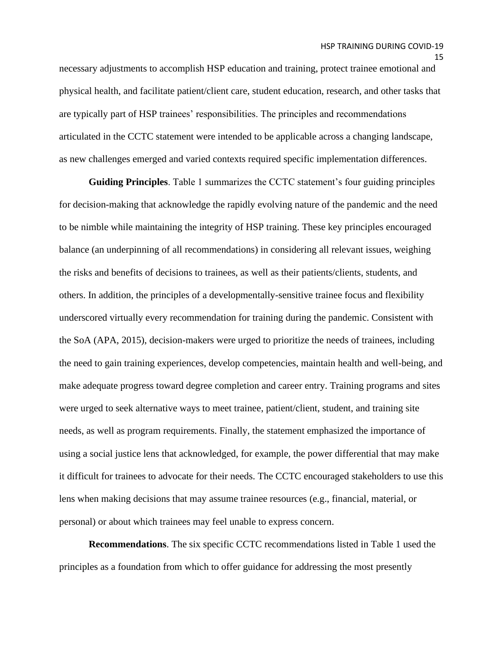necessary adjustments to accomplish HSP education and training, protect trainee emotional and physical health, and facilitate patient/client care, student education, research, and other tasks that are typically part of HSP trainees' responsibilities. The principles and recommendations articulated in the CCTC statement were intended to be applicable across a changing landscape, as new challenges emerged and varied contexts required specific implementation differences.

**Guiding Principles**. Table 1 summarizes the CCTC statement's four guiding principles for decision-making that acknowledge the rapidly evolving nature of the pandemic and the need to be nimble while maintaining the integrity of HSP training. These key principles encouraged balance (an underpinning of all recommendations) in considering all relevant issues, weighing the risks and benefits of decisions to trainees, as well as their patients/clients, students, and others. In addition, the principles of a developmentally-sensitive trainee focus and flexibility underscored virtually every recommendation for training during the pandemic. Consistent with the SoA (APA, 2015), decision-makers were urged to prioritize the needs of trainees, including the need to gain training experiences, develop competencies, maintain health and well-being, and make adequate progress toward degree completion and career entry. Training programs and sites were urged to seek alternative ways to meet trainee, patient/client, student, and training site needs, as well as program requirements. Finally, the statement emphasized the importance of using a social justice lens that acknowledged, for example, the power differential that may make it difficult for trainees to advocate for their needs. The CCTC encouraged stakeholders to use this lens when making decisions that may assume trainee resources (e.g., financial, material, or personal) or about which trainees may feel unable to express concern.

**Recommendations**. The six specific CCTC recommendations listed in Table 1 used the principles as a foundation from which to offer guidance for addressing the most presently

<sup>15</sup>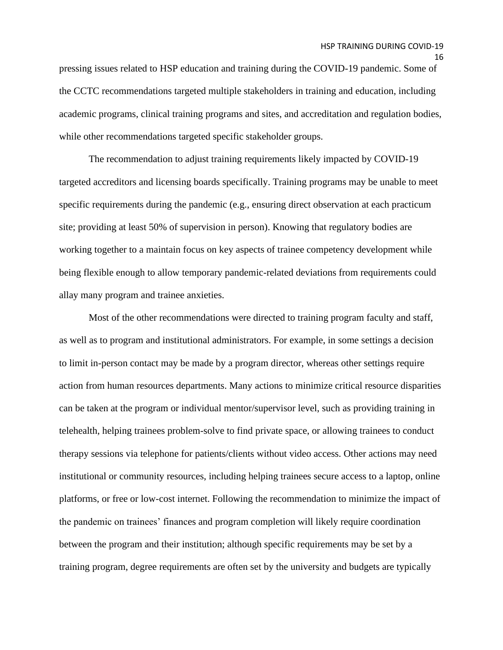pressing issues related to HSP education and training during the COVID-19 pandemic. Some of the CCTC recommendations targeted multiple stakeholders in training and education, including academic programs, clinical training programs and sites, and accreditation and regulation bodies, while other recommendations targeted specific stakeholder groups.

The recommendation to adjust training requirements likely impacted by COVID-19 targeted accreditors and licensing boards specifically. Training programs may be unable to meet specific requirements during the pandemic (e.g., ensuring direct observation at each practicum site; providing at least 50% of supervision in person). Knowing that regulatory bodies are working together to a maintain focus on key aspects of trainee competency development while being flexible enough to allow temporary pandemic-related deviations from requirements could allay many program and trainee anxieties.

Most of the other recommendations were directed to training program faculty and staff, as well as to program and institutional administrators. For example, in some settings a decision to limit in-person contact may be made by a program director, whereas other settings require action from human resources departments. Many actions to minimize critical resource disparities can be taken at the program or individual mentor/supervisor level, such as providing training in telehealth, helping trainees problem-solve to find private space, or allowing trainees to conduct therapy sessions via telephone for patients/clients without video access. Other actions may need institutional or community resources, including helping trainees secure access to a laptop, online platforms, or free or low-cost internet. Following the recommendation to minimize the impact of the pandemic on trainees' finances and program completion will likely require coordination between the program and their institution; although specific requirements may be set by a training program, degree requirements are often set by the university and budgets are typically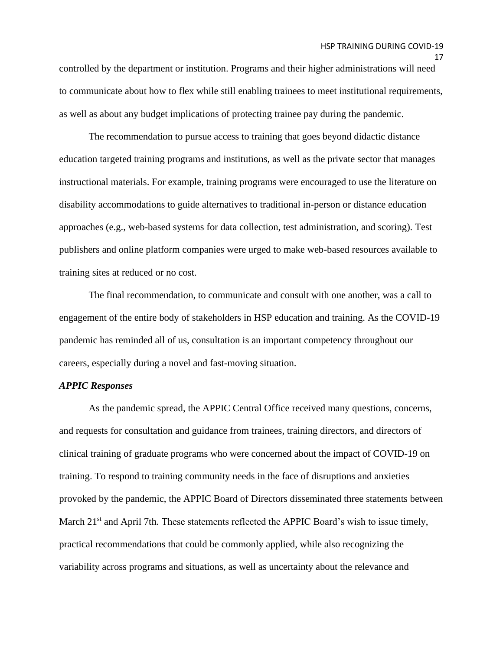controlled by the department or institution. Programs and their higher administrations will need to communicate about how to flex while still enabling trainees to meet institutional requirements, as well as about any budget implications of protecting trainee pay during the pandemic.

The recommendation to pursue access to training that goes beyond didactic distance education targeted training programs and institutions, as well as the private sector that manages instructional materials. For example, training programs were encouraged to use the literature on disability accommodations to guide alternatives to traditional in-person or distance education approaches (e.g., web-based systems for data collection, test administration, and scoring). Test publishers and online platform companies were urged to make web-based resources available to training sites at reduced or no cost.

The final recommendation, to communicate and consult with one another, was a call to engagement of the entire body of stakeholders in HSP education and training. As the COVID-19 pandemic has reminded all of us, consultation is an important competency throughout our careers, especially during a novel and fast-moving situation.

#### *APPIC Responses*

As the pandemic spread, the APPIC Central Office received many questions, concerns, and requests for consultation and guidance from trainees, training directors, and directors of clinical training of graduate programs who were concerned about the impact of COVID-19 on training. To respond to training community needs in the face of disruptions and anxieties provoked by the pandemic, the APPIC Board of Directors disseminated three statements between March 21<sup>st</sup> and April 7th. These statements reflected the APPIC Board's wish to issue timely, practical recommendations that could be commonly applied, while also recognizing the variability across programs and situations, as well as uncertainty about the relevance and

<sup>17</sup>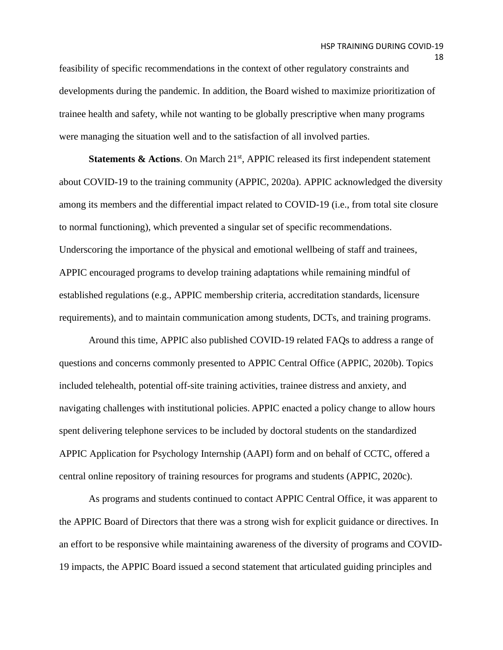feasibility of specific recommendations in the context of other regulatory constraints and developments during the pandemic. In addition, the Board wished to maximize prioritization of trainee health and safety, while not wanting to be globally prescriptive when many programs were managing the situation well and to the satisfaction of all involved parties.

**Statements & Actions.** On March 21<sup>st</sup>, APPIC released its first independent statement about COVID-19 to the training community (APPIC, 2020a). APPIC acknowledged the diversity among its members and the differential impact related to COVID-19 (i.e., from total site closure to normal functioning), which prevented a singular set of specific recommendations. Underscoring the importance of the physical and emotional wellbeing of staff and trainees, APPIC encouraged programs to develop training adaptations while remaining mindful of established regulations (e.g., APPIC membership criteria, accreditation standards, licensure requirements), and to maintain communication among students, DCTs, and training programs.

Around this time, APPIC also published COVID-19 related FAQs to address a range of questions and concerns commonly presented to APPIC Central Office (APPIC, 2020b). Topics included telehealth, potential off-site training activities, trainee distress and anxiety, and navigating challenges with institutional policies. APPIC enacted a policy change to allow hours spent delivering telephone services to be included by doctoral students on the standardized APPIC Application for Psychology Internship (AAPI) form and on behalf of CCTC, offered a central online repository of training resources for programs and students (APPIC, 2020c).

As programs and students continued to contact APPIC Central Office, it was apparent to the APPIC Board of Directors that there was a strong wish for explicit guidance or directives. In an effort to be responsive while maintaining awareness of the diversity of programs and COVID-19 impacts, the APPIC Board issued a second statement that articulated guiding principles and

18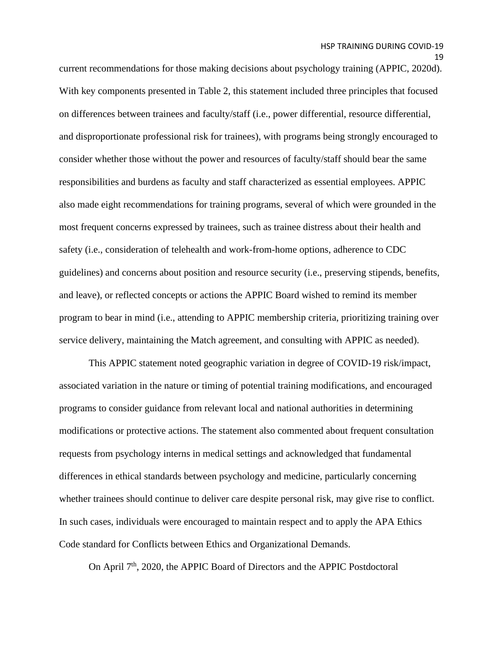current recommendations for those making decisions about psychology training (APPIC, 2020d). With key components presented in Table 2, this statement included three principles that focused on differences between trainees and faculty/staff (i.e., power differential, resource differential, and disproportionate professional risk for trainees), with programs being strongly encouraged to consider whether those without the power and resources of faculty/staff should bear the same responsibilities and burdens as faculty and staff characterized as essential employees. APPIC also made eight recommendations for training programs, several of which were grounded in the most frequent concerns expressed by trainees, such as trainee distress about their health and safety (i.e., consideration of telehealth and work-from-home options, adherence to CDC guidelines) and concerns about position and resource security (i.e., preserving stipends, benefits, and leave), or reflected concepts or actions the APPIC Board wished to remind its member program to bear in mind (i.e., attending to APPIC membership criteria, prioritizing training over service delivery, maintaining the Match agreement, and consulting with APPIC as needed).

This APPIC statement noted geographic variation in degree of COVID-19 risk/impact, associated variation in the nature or timing of potential training modifications, and encouraged programs to consider guidance from relevant local and national authorities in determining modifications or protective actions. The statement also commented about frequent consultation requests from psychology interns in medical settings and acknowledged that fundamental differences in ethical standards between psychology and medicine, particularly concerning whether trainees should continue to deliver care despite personal risk, may give rise to conflict. In such cases, individuals were encouraged to maintain respect and to apply the APA Ethics Code standard for Conflicts between Ethics and Organizational Demands.

On April 7<sup>th</sup>, 2020, the APPIC Board of Directors and the APPIC Postdoctoral

<sup>19</sup>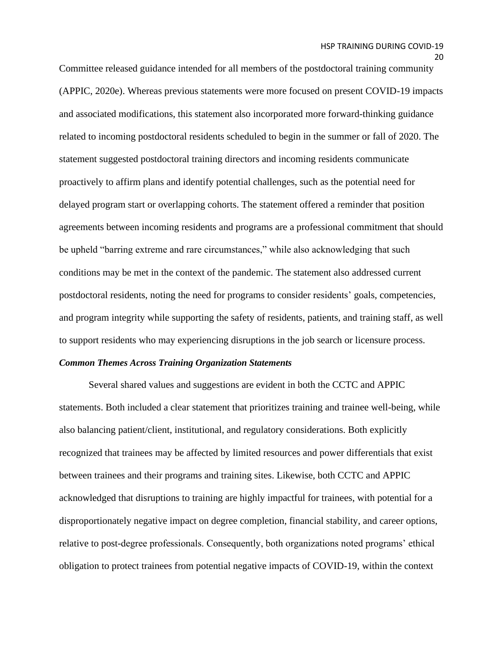20

Committee released guidance intended for all members of the postdoctoral training community (APPIC, 2020e). Whereas previous statements were more focused on present COVID-19 impacts and associated modifications, this statement also incorporated more forward-thinking guidance related to incoming postdoctoral residents scheduled to begin in the summer or fall of 2020. The statement suggested postdoctoral training directors and incoming residents communicate proactively to affirm plans and identify potential challenges, such as the potential need for delayed program start or overlapping cohorts. The statement offered a reminder that position agreements between incoming residents and programs are a professional commitment that should be upheld "barring extreme and rare circumstances," while also acknowledging that such conditions may be met in the context of the pandemic. The statement also addressed current postdoctoral residents, noting the need for programs to consider residents' goals, competencies, and program integrity while supporting the safety of residents, patients, and training staff, as well to support residents who may experiencing disruptions in the job search or licensure process.

#### *Common Themes Across Training Organization Statements*

Several shared values and suggestions are evident in both the CCTC and APPIC statements. Both included a clear statement that prioritizes training and trainee well-being, while also balancing patient/client, institutional, and regulatory considerations. Both explicitly recognized that trainees may be affected by limited resources and power differentials that exist between trainees and their programs and training sites. Likewise, both CCTC and APPIC acknowledged that disruptions to training are highly impactful for trainees, with potential for a disproportionately negative impact on degree completion, financial stability, and career options, relative to post-degree professionals. Consequently, both organizations noted programs' ethical obligation to protect trainees from potential negative impacts of COVID-19, within the context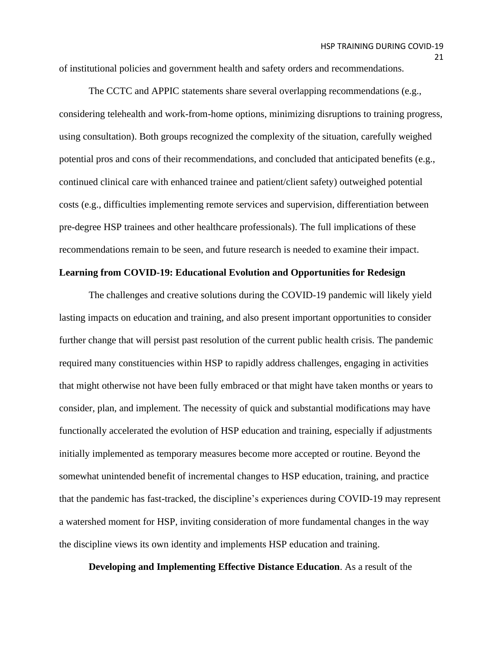of institutional policies and government health and safety orders and recommendations.

The CCTC and APPIC statements share several overlapping recommendations (e.g., considering telehealth and work-from-home options, minimizing disruptions to training progress, using consultation). Both groups recognized the complexity of the situation, carefully weighed potential pros and cons of their recommendations, and concluded that anticipated benefits (e.g., continued clinical care with enhanced trainee and patient/client safety) outweighed potential costs (e.g., difficulties implementing remote services and supervision, differentiation between pre-degree HSP trainees and other healthcare professionals). The full implications of these recommendations remain to be seen, and future research is needed to examine their impact.

#### **Learning from COVID-19: Educational Evolution and Opportunities for Redesign**

The challenges and creative solutions during the COVID-19 pandemic will likely yield lasting impacts on education and training, and also present important opportunities to consider further change that will persist past resolution of the current public health crisis. The pandemic required many constituencies within HSP to rapidly address challenges, engaging in activities that might otherwise not have been fully embraced or that might have taken months or years to consider, plan, and implement. The necessity of quick and substantial modifications may have functionally accelerated the evolution of HSP education and training, especially if adjustments initially implemented as temporary measures become more accepted or routine. Beyond the somewhat unintended benefit of incremental changes to HSP education, training, and practice that the pandemic has fast-tracked, the discipline's experiences during COVID-19 may represent a watershed moment for HSP, inviting consideration of more fundamental changes in the way the discipline views its own identity and implements HSP education and training.

**Developing and Implementing Effective Distance Education**. As a result of the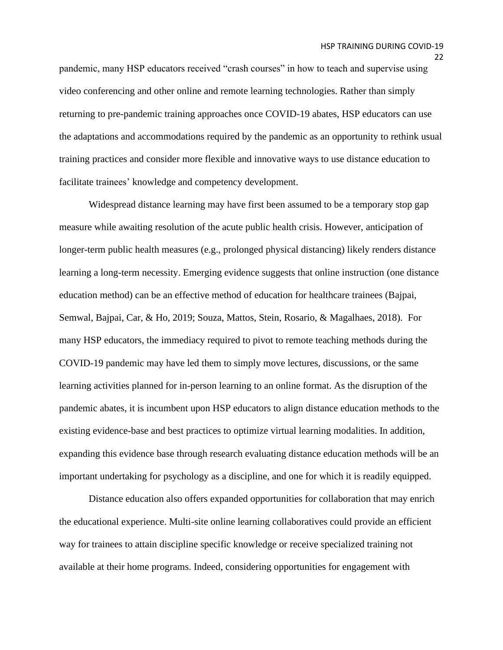pandemic, many HSP educators received "crash courses" in how to teach and supervise using video conferencing and other online and remote learning technologies. Rather than simply returning to pre-pandemic training approaches once COVID-19 abates, HSP educators can use the adaptations and accommodations required by the pandemic as an opportunity to rethink usual training practices and consider more flexible and innovative ways to use distance education to facilitate trainees' knowledge and competency development.

Widespread distance learning may have first been assumed to be a temporary stop gap measure while awaiting resolution of the acute public health crisis. However, anticipation of longer-term public health measures (e.g., prolonged physical distancing) likely renders distance learning a long-term necessity. Emerging evidence suggests that online instruction (one distance education method) can be an effective method of education for healthcare trainees (Bajpai, Semwal, Bajpai, Car, & Ho, 2019; Souza, Mattos, Stein, Rosario, & Magalhaes, 2018). For many HSP educators, the immediacy required to pivot to remote teaching methods during the COVID-19 pandemic may have led them to simply move lectures, discussions, or the same learning activities planned for in-person learning to an online format. As the disruption of the pandemic abates, it is incumbent upon HSP educators to align distance education methods to the existing evidence-base and best practices to optimize virtual learning modalities. In addition, expanding this evidence base through research evaluating distance education methods will be an important undertaking for psychology as a discipline, and one for which it is readily equipped.

Distance education also offers expanded opportunities for collaboration that may enrich the educational experience. Multi-site online learning collaboratives could provide an efficient way for trainees to attain discipline specific knowledge or receive specialized training not available at their home programs. Indeed, considering opportunities for engagement with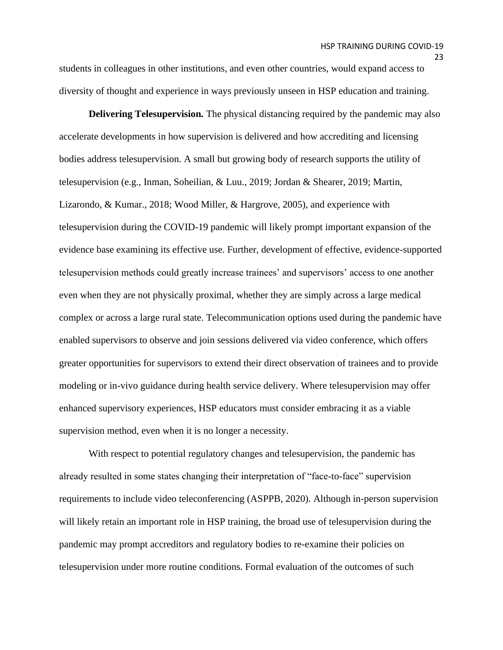students in colleagues in other institutions, and even other countries, would expand access to diversity of thought and experience in ways previously unseen in HSP education and training.

**Delivering Telesupervision***.* The physical distancing required by the pandemic may also accelerate developments in how supervision is delivered and how accrediting and licensing bodies address telesupervision. A small but growing body of research supports the utility of telesupervision (e.g., Inman, Soheilian, & Luu., 2019; Jordan & Shearer, 2019; Martin, Lizarondo, & Kumar., 2018; Wood Miller, & Hargrove, 2005), and experience with telesupervision during the COVID-19 pandemic will likely prompt important expansion of the evidence base examining its effective use. Further, development of effective, evidence-supported telesupervision methods could greatly increase trainees' and supervisors' access to one another even when they are not physically proximal, whether they are simply across a large medical complex or across a large rural state. Telecommunication options used during the pandemic have enabled supervisors to observe and join sessions delivered via video conference, which offers greater opportunities for supervisors to extend their direct observation of trainees and to provide modeling or in-vivo guidance during health service delivery. Where telesupervision may offer enhanced supervisory experiences, HSP educators must consider embracing it as a viable supervision method, even when it is no longer a necessity.

With respect to potential regulatory changes and telesupervision, the pandemic has already resulted in some states changing their interpretation of "face-to-face" supervision requirements to include video teleconferencing (ASPPB, 2020). Although in-person supervision will likely retain an important role in HSP training, the broad use of telesupervision during the pandemic may prompt accreditors and regulatory bodies to re-examine their policies on telesupervision under more routine conditions. Formal evaluation of the outcomes of such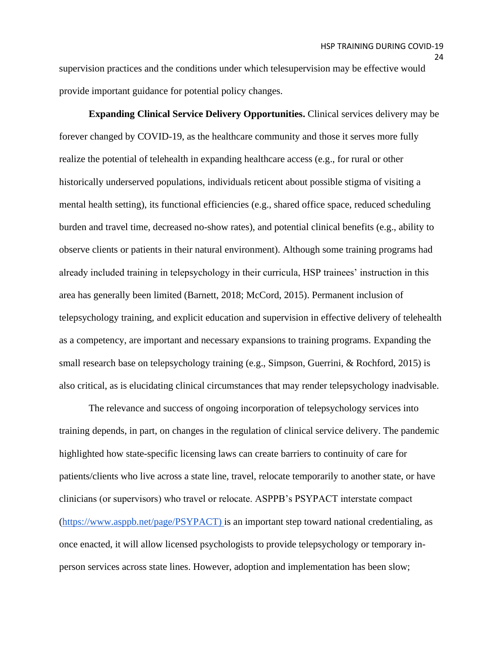supervision practices and the conditions under which telesupervision may be effective would provide important guidance for potential policy changes.

**Expanding Clinical Service Delivery Opportunities.** Clinical services delivery may be forever changed by COVID-19, as the healthcare community and those it serves more fully realize the potential of telehealth in expanding healthcare access (e.g., for rural or other historically underserved populations, individuals reticent about possible stigma of visiting a mental health setting), its functional efficiencies (e.g., shared office space, reduced scheduling burden and travel time, decreased no-show rates), and potential clinical benefits (e.g., ability to observe clients or patients in their natural environment). Although some training programs had already included training in telepsychology in their curricula, HSP trainees' instruction in this area has generally been limited (Barnett, 2018; McCord, 2015). Permanent inclusion of telepsychology training, and explicit education and supervision in effective delivery of telehealth as a competency, are important and necessary expansions to training programs. Expanding the small research base on telepsychology training (e.g., Simpson, Guerrini, & Rochford, 2015) is also critical, as is elucidating clinical circumstances that may render telepsychology inadvisable.

The relevance and success of ongoing incorporation of telepsychology services into training depends, in part, on changes in the regulation of clinical service delivery. The pandemic highlighted how state-specific licensing laws can create barriers to continuity of care for patients/clients who live across a state line, travel, relocate temporarily to another state, or have clinicians (or supervisors) who travel or relocate. ASPPB's PSYPACT interstate compact [\(https://www.asppb.net/page/PSYPACT\)](https://www.asppb.net/page/PSYPACT) is an important step toward national credentialing, as once enacted, it will allow licensed psychologists to provide telepsychology or temporary inperson services across state lines. However, adoption and implementation has been slow;

24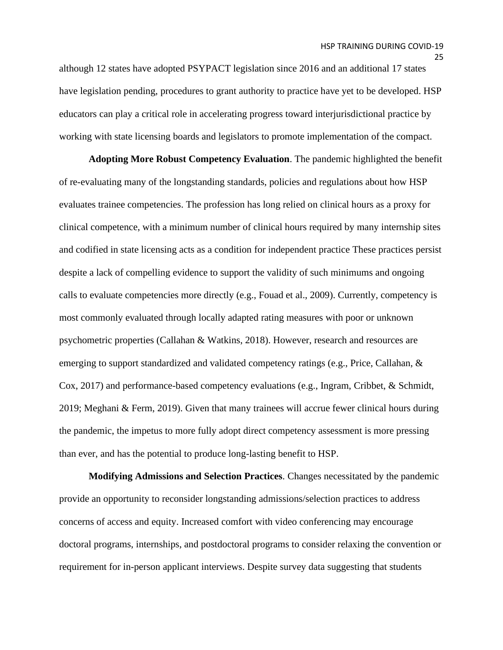although 12 states have adopted PSYPACT legislation since 2016 and an additional 17 states have legislation pending, procedures to grant authority to practice have yet to be developed. HSP educators can play a critical role in accelerating progress toward interjurisdictional practice by working with state licensing boards and legislators to promote implementation of the compact.

**Adopting More Robust Competency Evaluation**. The pandemic highlighted the benefit of re-evaluating many of the longstanding standards, policies and regulations about how HSP evaluates trainee competencies. The profession has long relied on clinical hours as a proxy for clinical competence, with a minimum number of clinical hours required by many internship sites and codified in state licensing acts as a condition for independent practice These practices persist despite a lack of compelling evidence to support the validity of such minimums and ongoing calls to evaluate competencies more directly (e.g., Fouad et al., 2009). Currently, competency is most commonly evaluated through locally adapted rating measures with poor or unknown psychometric properties (Callahan & Watkins, 2018). However, research and resources are emerging to support standardized and validated competency ratings (e.g., Price, Callahan, & Cox, 2017) and performance-based competency evaluations (e.g., Ingram, Cribbet, & Schmidt, 2019; Meghani & Ferm, 2019). Given that many trainees will accrue fewer clinical hours during the pandemic, the impetus to more fully adopt direct competency assessment is more pressing than ever, and has the potential to produce long-lasting benefit to HSP.

**Modifying Admissions and Selection Practices**. Changes necessitated by the pandemic provide an opportunity to reconsider longstanding admissions/selection practices to address concerns of access and equity. Increased comfort with video conferencing may encourage doctoral programs, internships, and postdoctoral programs to consider relaxing the convention or requirement for in-person applicant interviews. Despite survey data suggesting that students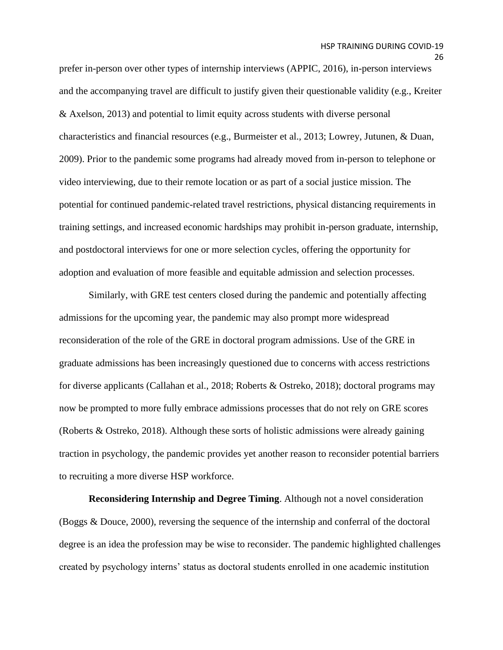prefer in-person over other types of internship interviews (APPIC, 2016), in-person interviews and the accompanying travel are difficult to justify given their questionable validity (e.g., Kreiter & Axelson, 2013) and potential to limit equity across students with diverse personal characteristics and financial resources (e.g., Burmeister et al., 2013; Lowrey, Jutunen, & Duan, 2009). Prior to the pandemic some programs had already moved from in-person to telephone or video interviewing, due to their remote location or as part of a social justice mission. The potential for continued pandemic-related travel restrictions, physical distancing requirements in training settings, and increased economic hardships may prohibit in-person graduate, internship, and postdoctoral interviews for one or more selection cycles, offering the opportunity for adoption and evaluation of more feasible and equitable admission and selection processes.

Similarly, with GRE test centers closed during the pandemic and potentially affecting admissions for the upcoming year, the pandemic may also prompt more widespread reconsideration of the role of the GRE in doctoral program admissions. Use of the GRE in graduate admissions has been increasingly questioned due to concerns with access restrictions for diverse applicants (Callahan et al., 2018; Roberts & Ostreko, 2018); doctoral programs may now be prompted to more fully embrace admissions processes that do not rely on GRE scores (Roberts & Ostreko, 2018). Although these sorts of holistic admissions were already gaining traction in psychology, the pandemic provides yet another reason to reconsider potential barriers to recruiting a more diverse HSP workforce.

**Reconsidering Internship and Degree Timing**. Although not a novel consideration (Boggs & Douce, 2000), reversing the sequence of the internship and conferral of the doctoral degree is an idea the profession may be wise to reconsider. The pandemic highlighted challenges created by psychology interns' status as doctoral students enrolled in one academic institution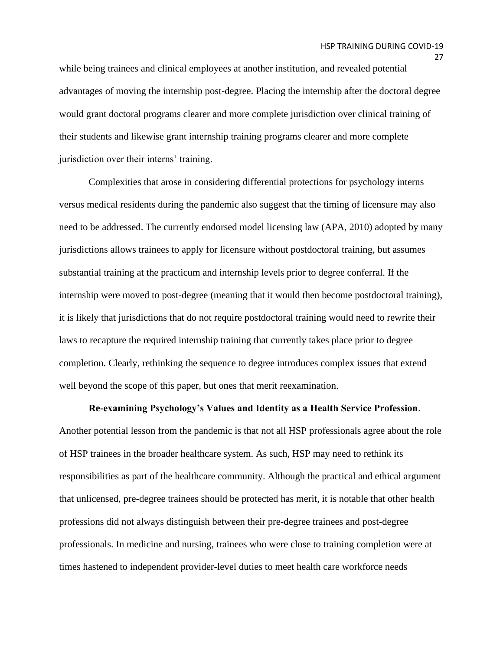while being trainees and clinical employees at another institution, and revealed potential advantages of moving the internship post-degree. Placing the internship after the doctoral degree would grant doctoral programs clearer and more complete jurisdiction over clinical training of their students and likewise grant internship training programs clearer and more complete jurisdiction over their interns' training.

Complexities that arose in considering differential protections for psychology interns versus medical residents during the pandemic also suggest that the timing of licensure may also need to be addressed. The currently endorsed model licensing law (APA, 2010) adopted by many jurisdictions allows trainees to apply for licensure without postdoctoral training, but assumes substantial training at the practicum and internship levels prior to degree conferral. If the internship were moved to post-degree (meaning that it would then become postdoctoral training), it is likely that jurisdictions that do not require postdoctoral training would need to rewrite their laws to recapture the required internship training that currently takes place prior to degree completion. Clearly, rethinking the sequence to degree introduces complex issues that extend well beyond the scope of this paper, but ones that merit reexamination.

### **Re-examining Psychology's Values and Identity as a Health Service Profession**.

Another potential lesson from the pandemic is that not all HSP professionals agree about the role of HSP trainees in the broader healthcare system. As such, HSP may need to rethink its responsibilities as part of the healthcare community. Although the practical and ethical argument that unlicensed, pre-degree trainees should be protected has merit, it is notable that other health professions did not always distinguish between their pre-degree trainees and post-degree professionals. In medicine and nursing, trainees who were close to training completion were at times hastened to independent provider-level duties to meet health care workforce needs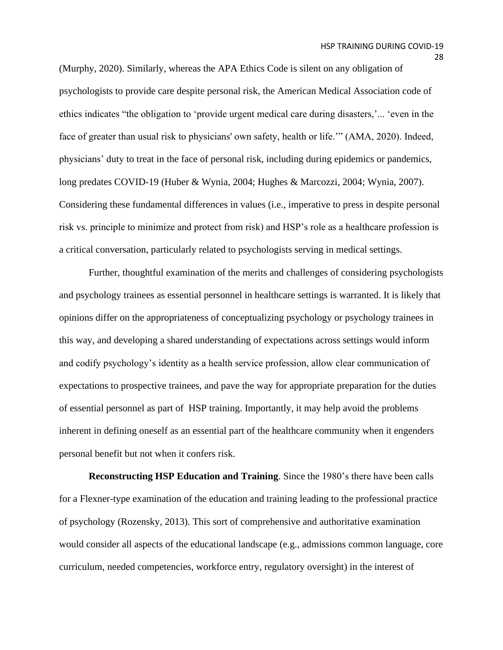(Murphy, 2020). Similarly, whereas the APA Ethics Code is silent on any obligation of psychologists to provide care despite personal risk, the American Medical Association code of ethics indicates "the obligation to 'provide urgent medical care during disasters,'... 'even in the face of greater than usual risk to physicians' own safety, health or life.'" (AMA, 2020). Indeed, physicians' duty to treat in the face of personal risk, including during epidemics or pandemics, long predates COVID-19 (Huber & Wynia, 2004; Hughes & Marcozzi, 2004; Wynia, 2007). Considering these fundamental differences in values (i.e., imperative to press in despite personal risk vs. principle to minimize and protect from risk) and HSP's role as a healthcare profession is a critical conversation, particularly related to psychologists serving in medical settings.

Further, thoughtful examination of the merits and challenges of considering psychologists and psychology trainees as essential personnel in healthcare settings is warranted. It is likely that opinions differ on the appropriateness of conceptualizing psychology or psychology trainees in this way, and developing a shared understanding of expectations across settings would inform and codify psychology's identity as a health service profession, allow clear communication of expectations to prospective trainees, and pave the way for appropriate preparation for the duties of essential personnel as part of HSP training. Importantly, it may help avoid the problems inherent in defining oneself as an essential part of the healthcare community when it engenders personal benefit but not when it confers risk.

**Reconstructing HSP Education and Training**. Since the 1980's there have been calls for a Flexner-type examination of the education and training leading to the professional practice of psychology (Rozensky, 2013). This sort of comprehensive and authoritative examination would consider all aspects of the educational landscape (e.g., admissions common language, core curriculum, needed competencies, workforce entry, regulatory oversight) in the interest of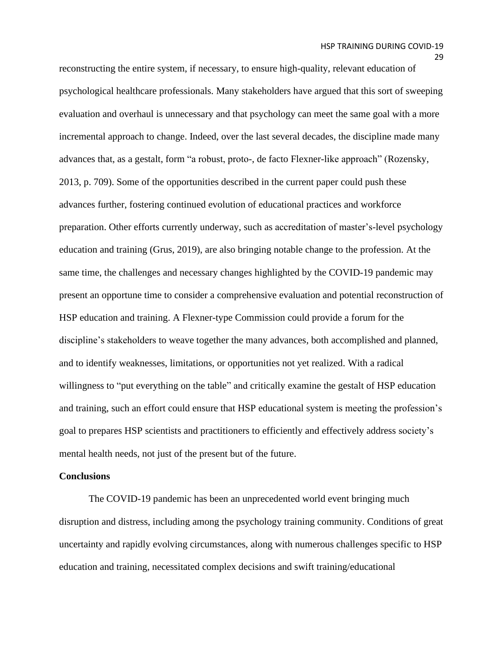reconstructing the entire system, if necessary, to ensure high-quality, relevant education of psychological healthcare professionals. Many stakeholders have argued that this sort of sweeping evaluation and overhaul is unnecessary and that psychology can meet the same goal with a more incremental approach to change. Indeed, over the last several decades, the discipline made many advances that, as a gestalt, form "a robust, proto-, de facto Flexner-like approach" (Rozensky, 2013, p. 709). Some of the opportunities described in the current paper could push these advances further, fostering continued evolution of educational practices and workforce preparation. Other efforts currently underway, such as accreditation of master's-level psychology education and training (Grus, 2019), are also bringing notable change to the profession. At the same time, the challenges and necessary changes highlighted by the COVID-19 pandemic may present an opportune time to consider a comprehensive evaluation and potential reconstruction of HSP education and training. A Flexner-type Commission could provide a forum for the discipline's stakeholders to weave together the many advances, both accomplished and planned, and to identify weaknesses, limitations, or opportunities not yet realized. With a radical willingness to "put everything on the table" and critically examine the gestalt of HSP education and training, such an effort could ensure that HSP educational system is meeting the profession's goal to prepares HSP scientists and practitioners to efficiently and effectively address society's mental health needs, not just of the present but of the future.

### **Conclusions**

The COVID-19 pandemic has been an unprecedented world event bringing much disruption and distress, including among the psychology training community. Conditions of great uncertainty and rapidly evolving circumstances, along with numerous challenges specific to HSP education and training, necessitated complex decisions and swift training/educational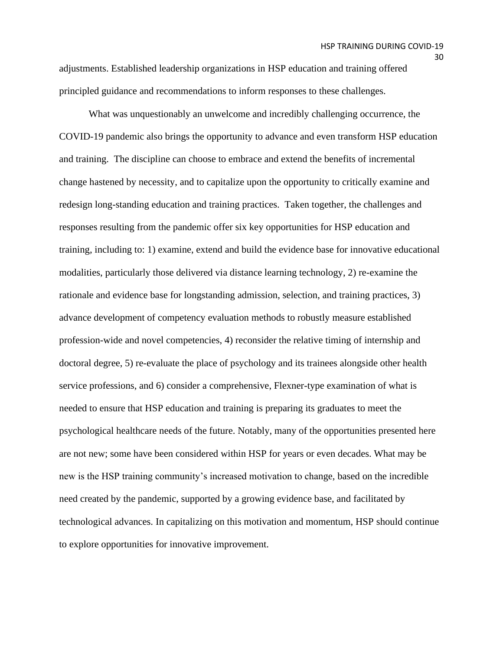adjustments. Established leadership organizations in HSP education and training offered principled guidance and recommendations to inform responses to these challenges.

What was unquestionably an unwelcome and incredibly challenging occurrence, the COVID-19 pandemic also brings the opportunity to advance and even transform HSP education and training. The discipline can choose to embrace and extend the benefits of incremental change hastened by necessity, and to capitalize upon the opportunity to critically examine and redesign long-standing education and training practices. Taken together, the challenges and responses resulting from the pandemic offer six key opportunities for HSP education and training, including to: 1) examine, extend and build the evidence base for innovative educational modalities, particularly those delivered via distance learning technology, 2) re-examine the rationale and evidence base for longstanding admission, selection, and training practices, 3) advance development of competency evaluation methods to robustly measure established profession-wide and novel competencies, 4) reconsider the relative timing of internship and doctoral degree, 5) re-evaluate the place of psychology and its trainees alongside other health service professions, and 6) consider a comprehensive, Flexner-type examination of what is needed to ensure that HSP education and training is preparing its graduates to meet the psychological healthcare needs of the future. Notably, many of the opportunities presented here are not new; some have been considered within HSP for years or even decades. What may be new is the HSP training community's increased motivation to change, based on the incredible need created by the pandemic, supported by a growing evidence base, and facilitated by technological advances. In capitalizing on this motivation and momentum, HSP should continue to explore opportunities for innovative improvement.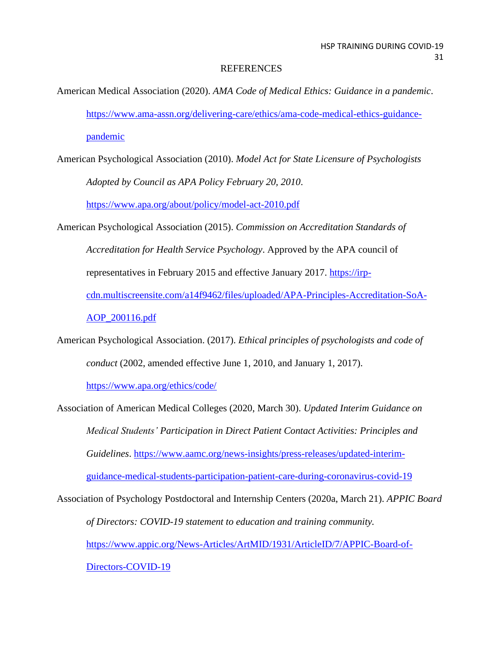### **REFERENCES**

- American Medical Association (2020). *AMA Code of Medical Ethics: Guidance in a pandemic*. [https://www.ama-assn.org/delivering-care/ethics/ama-code-medical-ethics-guidance](https://www.ama-assn.org/delivering-care/ethics/ama-code-medical-ethics-guidance-pandemic)[pandemic](https://www.ama-assn.org/delivering-care/ethics/ama-code-medical-ethics-guidance-pandemic)
- American Psychological Association (2010). *Model Act for State Licensure of Psychologists Adopted by Council as APA Policy February 20, 2010*.

<https://www.apa.org/about/policy/model-act-2010.pdf>

- American Psychological Association (2015). *Commission on Accreditation Standards of Accreditation for Health Service Psychology*. Approved by the APA council of representatives in February 2015 and effective January 2017. [https://irp](https://irp-cdn.multiscreensite.com/a14f9462/files/uploaded/APA-Principles-Accreditation-SoA-AOP_200116.pdf)[cdn.multiscreensite.com/a14f9462/files/uploaded/APA-Principles-Accreditation-SoA-](https://irp-cdn.multiscreensite.com/a14f9462/files/uploaded/APA-Principles-Accreditation-SoA-AOP_200116.pdf)[AOP\\_200116.pdf](https://irp-cdn.multiscreensite.com/a14f9462/files/uploaded/APA-Principles-Accreditation-SoA-AOP_200116.pdf)
- American Psychological Association. (2017). *Ethical principles of psychologists and code of conduct* (2002, amended effective June 1, 2010, and January 1, 2017).

<https://www.apa.org/ethics/code/>

Association of American Medical Colleges (2020, March 30). *Updated Interim Guidance on Medical Students' Participation in Direct Patient Contact Activities: Principles and Guidelines*. [https://www.aamc.org/news-insights/press-releases/updated-interim](https://www.aamc.org/news-insights/press-releases/updated-interim-guidance-medical-students-participation-patient-care-during-coronavirus-covid-19)[guidance-medical-students-participation-patient-care-during-coronavirus-covid-19](https://www.aamc.org/news-insights/press-releases/updated-interim-guidance-medical-students-participation-patient-care-during-coronavirus-covid-19)

Association of Psychology Postdoctoral and Internship Centers (2020a, March 21). *APPIC Board of Directors: COVID-19 statement to education and training community.* [https://www.appic.org/News-Articles/ArtMID/1931/ArticleID/7/APPIC-Board-of-](https://www.appic.org/News-Articles/ArtMID/1931/ArticleID/7/APPIC-Board-of-Directors-COVID-19)[Directors-COVID-19](https://www.appic.org/News-Articles/ArtMID/1931/ArticleID/7/APPIC-Board-of-Directors-COVID-19)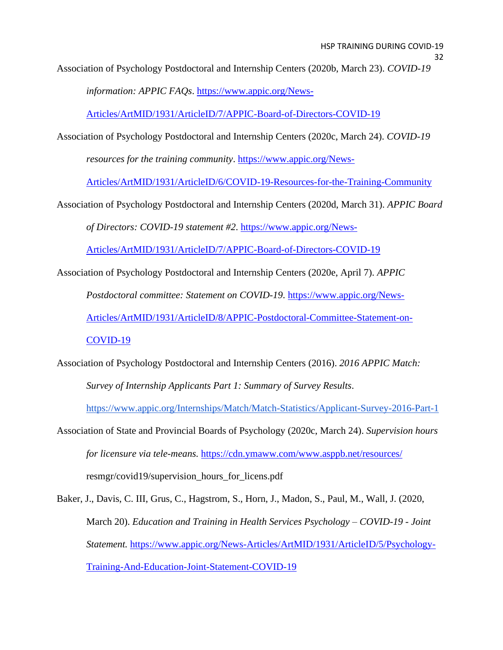Association of Psychology Postdoctoral and Internship Centers (2020b, March 23). *COVID-19* 

*information: APPIC FAQs*. [https://www.appic.org/News-](https://www.appic.org/News-Articles/ArtMID/1931/ArticleID/7/APPIC-Board-of-Directors-COVID-19)

[Articles/ArtMID/1931/ArticleID/7/APPIC-Board-of-Directors-COVID-19](https://www.appic.org/News-Articles/ArtMID/1931/ArticleID/7/APPIC-Board-of-Directors-COVID-19)

Association of Psychology Postdoctoral and Internship Centers (2020c, March 24). *COVID-19* 

*resources for the training community*. [https://www.appic.org/News-](https://www.appic.org/News-Articles/ArtMID/1931/ArticleID/6/COVID-19-Resources-for-the-Training-Community)

[Articles/ArtMID/1931/ArticleID/6/COVID-19-Resources-for-the-Training-Community](https://www.appic.org/News-Articles/ArtMID/1931/ArticleID/6/COVID-19-Resources-for-the-Training-Community)

Association of Psychology Postdoctoral and Internship Centers (2020d, March 31). *APPIC Board of Directors: COVID-19 statement #2*. [https://www.appic.org/News-](https://www.appic.org/News-Articles/ArtMID/1931/ArticleID/7/APPIC-Board-of-Directors-COVID-19)

[Articles/ArtMID/1931/ArticleID/7/APPIC-Board-of-Directors-COVID-19](https://www.appic.org/News-Articles/ArtMID/1931/ArticleID/7/APPIC-Board-of-Directors-COVID-19)

Association of Psychology Postdoctoral and Internship Centers (2020e, April 7). *APPIC* 

*Postdoctoral committee: Statement on COVID-19*. [https://www.appic.org/News-](https://www.appic.org/News-Articles/ArtMID/1931/ArticleID/8/APPIC-Postdoctoral-Committee-Statement-on-COVID-19)

[Articles/ArtMID/1931/ArticleID/8/APPIC-Postdoctoral-Committee-Statement-on-](https://www.appic.org/News-Articles/ArtMID/1931/ArticleID/8/APPIC-Postdoctoral-Committee-Statement-on-COVID-19)

[COVID-19](https://www.appic.org/News-Articles/ArtMID/1931/ArticleID/8/APPIC-Postdoctoral-Committee-Statement-on-COVID-19)

Association of Psychology Postdoctoral and Internship Centers (2016). *2016 APPIC Match: Survey of Internship Applicants Part 1: Summary of Survey Results*.

<https://www.appic.org/Internships/Match/Match-Statistics/Applicant-Survey-2016-Part-1>

Association of State and Provincial Boards of Psychology (2020c, March 24). *Supervision hours for licensure via tele-means.* <https://cdn.ymaww.com/www.asppb.net/resources/> resmgr/covid19/supervision\_hours\_for\_licens.pdf

Baker, J., Davis, C. III, Grus, C., Hagstrom, S., Horn, J., Madon, S., Paul, M., Wall, J. (2020, March 20). *Education and Training in Health Services Psychology – COVID-19 - Joint Statement.* [https://www.appic.org/News-Articles/ArtMID/1931/ArticleID/5/Psychology-](https://www.appic.org/News-Articles/ArtMID/1931/ArticleID/5/Psychology-Training-And-Education-Joint-Statement-COVID-19)[Training-And-Education-Joint-Statement-COVID-19](https://www.appic.org/News-Articles/ArtMID/1931/ArticleID/5/Psychology-Training-And-Education-Joint-Statement-COVID-19)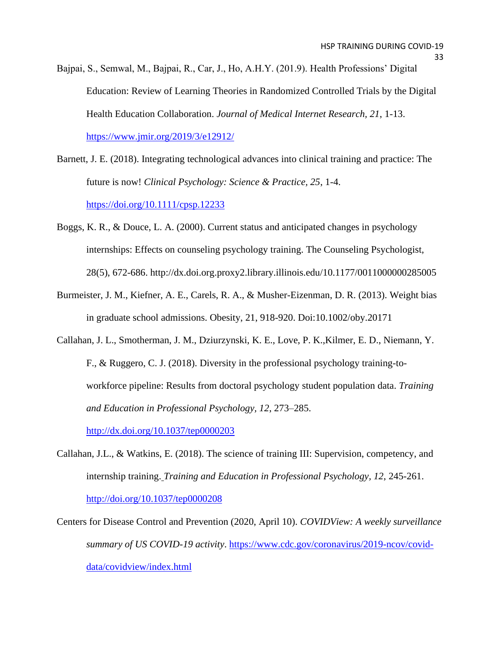- Bajpai, S., Semwal, M., Bajpai, R., Car, J., Ho, A.H.Y. (201.9). Health Professions' Digital Education: Review of Learning Theories in Randomized Controlled Trials by the Digital Health Education Collaboration. *Journal of Medical Internet Research, 21*, 1-13. <https://www.jmir.org/2019/3/e12912/>
- Barnett, J. E. (2018). Integrating technological advances into clinical training and practice: The future is now! *Clinical Psychology: Science & Practice, 25*, 1-4. <https://doi.org/10.1111/cpsp.12233>
- Boggs, K. R., & Douce, L. A. (2000). Current status and anticipated changes in psychology internships: Effects on counseling psychology training. The Counseling Psychologist, 28(5), 672-686. http://dx.doi.org.proxy2.library.illinois.edu/10.1177/0011000000285005
- Burmeister, J. M., Kiefner, A. E., Carels, R. A., & Musher-Eizenman, D. R. (2013). Weight bias in graduate school admissions. Obesity, 21, 918-920. Doi:10.1002/oby.20171
- Callahan, J. L., Smotherman, J. M., Dziurzynski, K. E., Love, P. K.,Kilmer, E. D., Niemann, Y. F., & Ruggero, C. J. (2018). Diversity in the professional psychology training-toworkforce pipeline: Results from doctoral psychology student population data. *Training and Education in Professional Psychology, 12*, 273–285.

<http://dx.doi.org/10.1037/tep0000203>

- Callahan, J.L., & Watkins, E. (2018). The science of training III: Supervision, competency, and internship training. *Training and Education in Professional Psychology, 12*, 245-261. http://doi.org/10.1037/tep0000208
- Centers for Disease Control and Prevention (2020, April 10). *COVIDView: A weekly surveillance summary of US COVID-19 activity*. [https://www.cdc.gov/coronavirus/2019-ncov/covid](https://www.cdc.gov/coronavirus/2019-ncov/covid-data/covidview/index.html)[data/covidview/index.html](https://www.cdc.gov/coronavirus/2019-ncov/covid-data/covidview/index.html)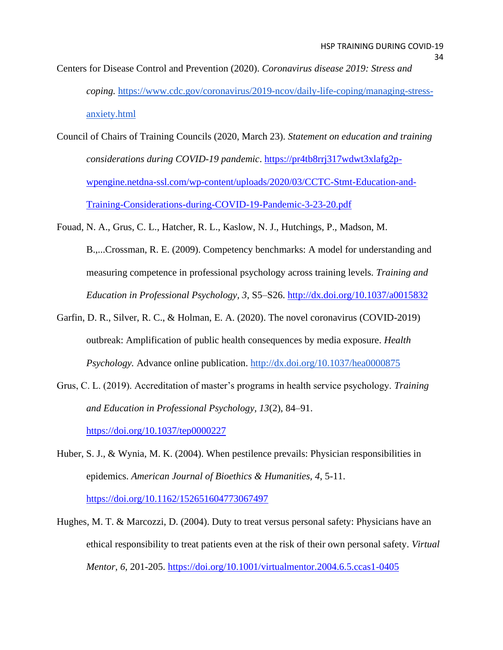- Centers for Disease Control and Prevention (2020). *Coronavirus disease 2019: Stress and coping.* [https://www.cdc.gov/coronavirus/2019-ncov/daily-life-coping/managing-stress](https://www.cdc.gov/coronavirus/2019-ncov/daily-life-coping/managing-stress-anxiety.html)[anxiety.html](https://www.cdc.gov/coronavirus/2019-ncov/daily-life-coping/managing-stress-anxiety.html)
- Council of Chairs of Training Councils (2020, March 23). *Statement on education and training considerations during COVID-19 pandemic*. [https://pr4tb8rrj317wdwt3xlafg2p](https://pr4tb8rrj317wdwt3xlafg2p-wpengine.netdna-ssl.com/wp-content/uploads/2020/03/CCTC-Stmt-Education-and-Training-Considerations-during-COVID-19-Pandemic-3-23-20.pdf)[wpengine.netdna-ssl.com/wp-content/uploads/2020/03/CCTC-Stmt-Education-and-](https://pr4tb8rrj317wdwt3xlafg2p-wpengine.netdna-ssl.com/wp-content/uploads/2020/03/CCTC-Stmt-Education-and-Training-Considerations-during-COVID-19-Pandemic-3-23-20.pdf)[Training-Considerations-during-COVID-19-Pandemic-3-23-20.pdf](https://pr4tb8rrj317wdwt3xlafg2p-wpengine.netdna-ssl.com/wp-content/uploads/2020/03/CCTC-Stmt-Education-and-Training-Considerations-during-COVID-19-Pandemic-3-23-20.pdf)
- Fouad, N. A., Grus, C. L., Hatcher, R. L., Kaslow, N. J., Hutchings, P., Madson, M. B.,...Crossman, R. E. (2009). Competency benchmarks: A model for understanding and measuring competence in professional psychology across training levels. *Training and Education in Professional Psychology, 3*, S5–S26. <http://dx.doi.org/10.1037/a0015832>
- Garfin, D. R., Silver, R. C., & Holman, E. A. (2020). The novel coronavirus (COVID-2019) outbreak: Amplification of public health consequences by media exposure. *Health Psychology.* Advance online publication[.](http://dx.doi.org/10.1037/hea0000875) <http://dx.doi.org/10.1037/hea0000875>
- Grus, C. L. (2019). Accreditation of master's programs in health service psychology. *Training and Education in Professional Psychology, 13*(2), 84–91. [https://doi.org/10.1037/tep0000227](https://psycnet.apa.org/doi/10.1037/tep0000227)
- Huber, S. J., & Wynia, M. K. (2004). When pestilence prevails: Physician responsibilities in epidemics. *American Journal of Bioethics & Humanities, 4*, 5-11. <https://doi.org/10.1162/152651604773067497>
- Hughes, M. T. & Marcozzi, D. (2004). Duty to treat versus personal safety: Physicians have an ethical responsibility to treat patients even at the risk of their own personal safety. *Virtual Mentor, 6*, 201-205.<https://doi.org/10.1001/virtualmentor.2004.6.5.ccas1-0405>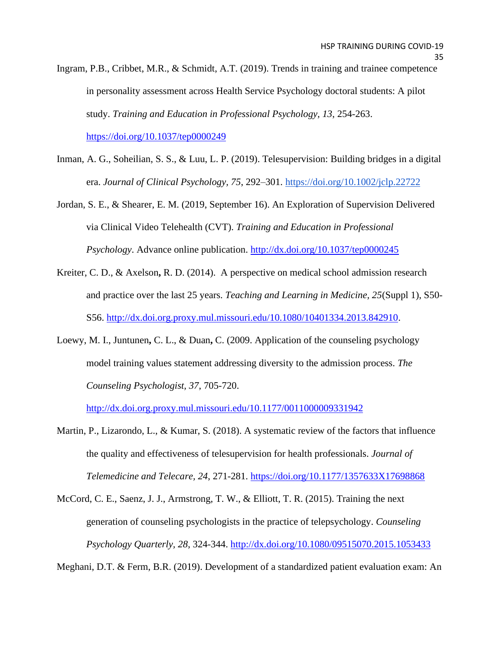- Ingram, P.B., Cribbet, M.R., & Schmidt, A.T. (2019). Trends in training and trainee competence in personality assessment across Health Service Psychology doctoral students: A pilot study. *Training and Education in Professional Psychology, 13*, 254-263. <https://doi.org/10.1037/tep0000249>
- Inman, A. G., Soheilian, S. S., & Luu, L. P. (2019). Telesupervision: Building bridges in a digital era. *Journal of Clinical Psychology, 75*, 292–301. <https://doi.org/10.1002/jclp.22722>
- Jordan, S. E., & Shearer, E. M. (2019, September 16). An Exploration of Supervision Delivered via Clinical Video Telehealth (CVT). *Training and Education in Professional Psychology*. Advance online publication.<http://dx.doi.org/10.1037/tep0000245>
- Kreiter, C. D., & Axelson**,** R. D. (2014). A perspective on medical school admission research and practice over the last 25 years. *Teaching and Learning in Medicine, 25*(Suppl 1), S50- S56. [http://dx.doi.org.proxy.mul.missouri.edu/10.1080/10401334.2013.842910.](http://dx.doi.org.proxy.mul.missouri.edu/10.1080/10401334.2013.842910)
- Loewy, M. I., Juntunen**,** C. L., & Duan**,** C. (2009. Application of the counseling psychology model training values statement addressing diversity to the admission process. *The Counseling Psychologist, 37*, 705-720.

<http://dx.doi.org.proxy.mul.missouri.edu/10.1177/0011000009331942>

- Martin, P., Lizarondo, L., & Kumar, S. (2018). A systematic review of the factors that influence the quality and effectiveness of telesupervision for health professionals. *Journal of Telemedicine and Telecare, 24*, 271-281.<https://doi.org/10.1177/1357633X17698868>
- McCord, C. E., Saenz, J. J., Armstrong, T. W., & Elliott, T. R. (2015). Training the next generation of counseling psychologists in the practice of telepsychology. *Counseling Psychology Quarterly, 28*, 324-344.<http://dx.doi.org/10.1080/09515070.2015.1053433>

Meghani, D.T. & Ferm, B.R. (2019). Development of a standardized patient evaluation exam: An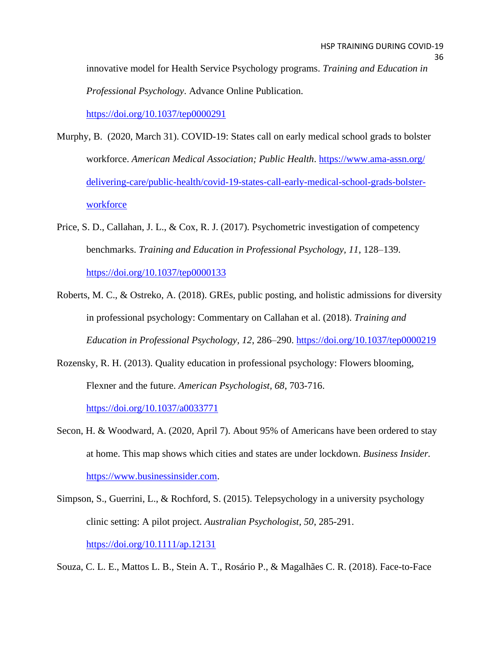innovative model for Health Service Psychology programs. *Training and Education in Professional Psychology*. Advance Online Publication.

<https://doi.org/10.1037/tep0000291>

- Murphy, B. (2020, March 31). COVID-19: States call on early medical school grads to bolster workforce. *American Medical Association; Public Health*. [https://www.ama-assn.org/](https://www.ama-assn.org/%20delivering-care/public-health/covid-19-states-call-early-medical-school-grads-bolster-workforce)  [delivering-care/public-health/covid-19-states-call-early-medical-school-grads-bolster](https://www.ama-assn.org/%20delivering-care/public-health/covid-19-states-call-early-medical-school-grads-bolster-workforce)[workforce](https://www.ama-assn.org/%20delivering-care/public-health/covid-19-states-call-early-medical-school-grads-bolster-workforce)
- Price, S. D., Callahan, J. L., & Cox, R. J. (2017). Psychometric investigation of competency benchmarks. *Training and Education in Professional Psychology, 11*, 128–139. <https://doi.org/10.1037/tep0000133>
- Roberts, M. C., & Ostreko, A. (2018). GREs, public posting, and holistic admissions for diversity in professional psychology: Commentary on Callahan et al. (2018). *Training and Education in Professional Psychology, 12*, 286–290. [https://doi.org/10.1037/tep0000219](https://psycnet.apa.org/doi/10.1037/tep0000219)
- Rozensky, R. H. (2013). Quality education in professional psychology: Flowers blooming, Flexner and the future. *American Psychologist, 68*, 703-716. <https://doi.org/10.1037/a0033771>
- Secon, H. & Woodward, A. (2020, April 7). About 95% of Americans have been ordered to stay at home. This map shows which cities and states are under lockdown. *Business Insider.*  [https://www.businessinsider.com.](https://www.businessinsider.com/)
- Simpson, S., Guerrini, L., & Rochford, S. (2015). Telepsychology in a university psychology clinic setting: A pilot project. *Australian Psychologist, 50*, 285-291. <https://doi.org/10.1111/ap.12131>

Souza, C. L. E., Mattos L. B., Stein A. T., Rosário P., & Magalhães C. R. (2018). Face-to-Face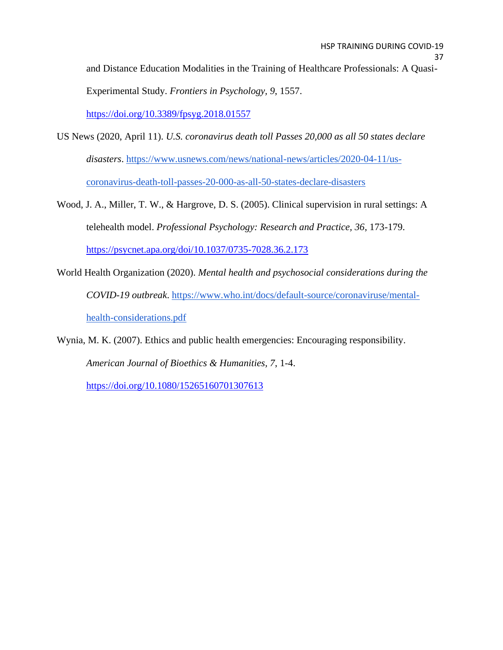and Distance Education Modalities in the Training of Healthcare Professionals: A Quasi-Experimental Study. *Frontiers in Psychology, 9*, 1557.

<https://doi.org/10.3389/fpsyg.2018.01557>

- US News (2020, April 11). *U.S. coronavirus death toll Passes 20,000 as all 50 states declare disasters*. [https://www.usnews.com/news/national-news/articles/2020-04-11/us](https://www.usnews.com/news/national-news/articles/2020-04-11/us-coronavirus-death-toll-passes-20-000-as-all-50-states-declare-disasters)[coronavirus-death-toll-passes-20-000-as-all-50-states-declare-disasters](https://www.usnews.com/news/national-news/articles/2020-04-11/us-coronavirus-death-toll-passes-20-000-as-all-50-states-declare-disasters)
- Wood, J. A., Miller, T. W., & Hargrove, D. S. (2005). Clinical supervision in rural settings: A telehealth model. *Professional Psychology: Research and Practice, 36*, 173-179. <https://psycnet.apa.org/doi/10.1037/0735-7028.36.2.173>
- World Health Organization (2020). *Mental health and psychosocial considerations during the COVID-19 outbreak*. [https://www.who.int/docs/default-source/coronaviruse/mental](https://www.who.int/docs/default-source/coronaviruse/mental-health-considerations.pdf)[health-considerations.pdf](https://www.who.int/docs/default-source/coronaviruse/mental-health-considerations.pdf)
- Wynia, M. K. (2007). Ethics and public health emergencies: Encouraging responsibility. *American Journal of Bioethics & Humanities, 7*, 1-4.

<https://doi.org/10.1080/15265160701307613>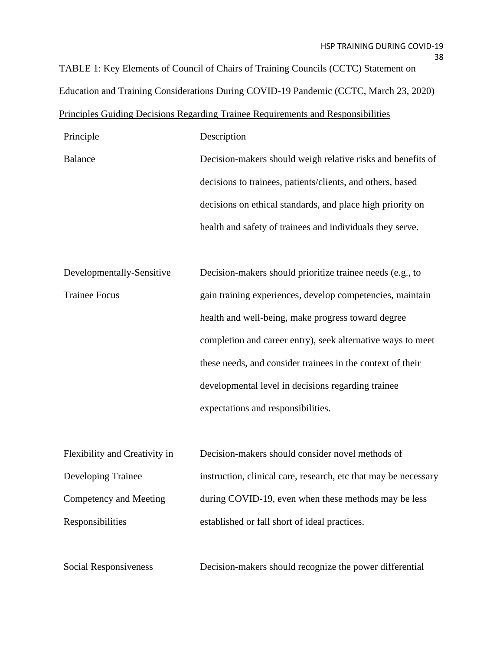TABLE 1: Key Elements of Council of Chairs of Training Councils (CCTC) Statement on Education and Training Considerations During COVID-19 Pandemic (CCTC, March 23, 2020) Principles Guiding Decisions Regarding Trainee Requirements and Responsibilities

| Principle                 | Description                                                 |
|---------------------------|-------------------------------------------------------------|
| <b>Balance</b>            | Decision-makers should weigh relative risks and benefits of |
|                           | decisions to trainees, patients/clients, and others, based  |
|                           | decisions on ethical standards, and place high priority on  |
|                           | health and safety of trainees and individuals they serve.   |
|                           |                                                             |
| Developmentally-Sensitive | Decision-makers should prioritize trainee needs (e.g., to   |
| <b>Trainee Focus</b>      | gain training experiences, develop competencies, maintain   |
|                           | health and well-being, make progress toward degree          |
|                           | completion and career entry), seek alternative ways to meet |
|                           | these needs, and consider trainees in the context of their  |
|                           | developmental level in decisions regarding trainee          |
|                           | expectations and responsibilities.                          |

| Flexibility and Creativity in | Decision-makers should consider novel methods of                |
|-------------------------------|-----------------------------------------------------------------|
| <b>Developing Trainee</b>     | instruction, clinical care, research, etc that may be necessary |
| Competency and Meeting        | during COVID-19, even when these methods may be less            |
| Responsibilities              | established or fall short of ideal practices.                   |

Social Responsiveness Decision-makers should recognize the power differential

38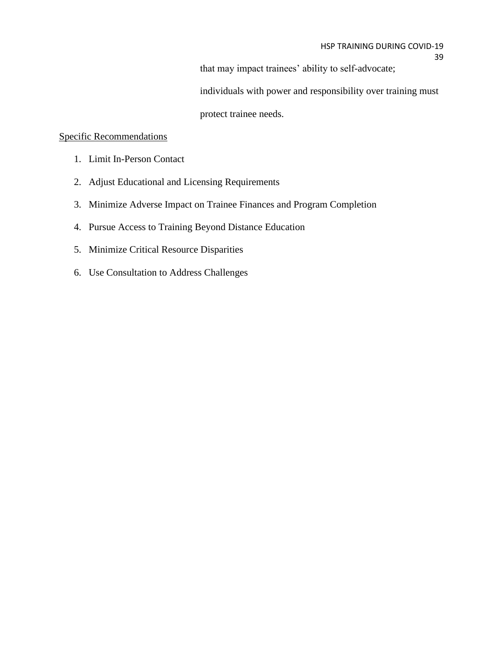that may impact trainees' ability to self-advocate;

individuals with power and responsibility over training must

protect trainee needs.

## Specific Recommendations

- 1. Limit In-Person Contact
- 2. Adjust Educational and Licensing Requirements
- 3. Minimize Adverse Impact on Trainee Finances and Program Completion
- 4. Pursue Access to Training Beyond Distance Education
- 5. Minimize Critical Resource Disparities
- 6. Use Consultation to Address Challenges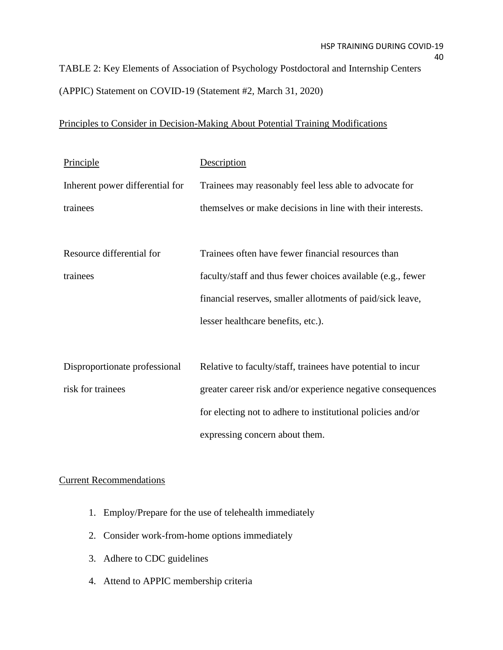TABLE 2: Key Elements of Association of Psychology Postdoctoral and Internship Centers (APPIC) Statement on COVID-19 (Statement #2, March 31, 2020)

# Principles to Consider in Decision-Making About Potential Training Modifications

| Principle                       | Description                                                 |
|---------------------------------|-------------------------------------------------------------|
| Inherent power differential for | Trainees may reasonably feel less able to advocate for      |
| trainees                        | themselves or make decisions in line with their interests.  |
|                                 |                                                             |
| Resource differential for       | Trainees often have fewer financial resources than          |
| trainees                        | faculty/staff and thus fewer choices available (e.g., fewer |
|                                 | financial reserves, smaller allotments of paid/sick leave,  |
|                                 | lesser healthcare benefits, etc.).                          |
|                                 |                                                             |
| Disproportionate professional   | Relative to faculty/staff, trainees have potential to incur |
| risk for trainees               | greater career risk and/or experience negative consequences |
|                                 | for electing not to adhere to institutional policies and/or |
|                                 | expressing concern about them.                              |

## Current Recommendations

- 1. Employ/Prepare for the use of telehealth immediately
- 2. Consider work-from-home options immediately
- 3. Adhere to CDC guidelines
- 4. Attend to APPIC membership criteria